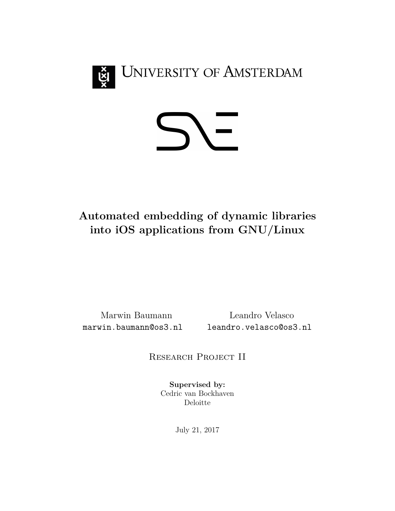



# **Automated embedding of dynamic libraries into iOS applications from GNU/Linux**

Marwin Baumann Leandro Velasco marwin.baumann@os3.nl leandro.velasco@os3.nl

RESEARCH PROJECT II

**Supervised by:** Cedric van Bockhaven Deloitte

July 21, 2017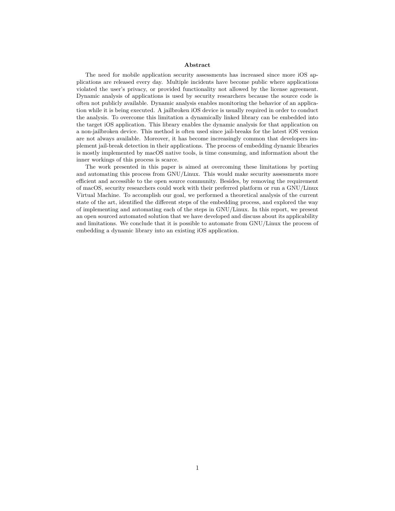#### **Abstract**

The need for mobile application security assessments has increased since more iOS applications are released every day. Multiple incidents have become public where applications violated the user's privacy, or provided functionality not allowed by the license agreement. Dynamic analysis of applications is used by security researchers because the source code is often not publicly available. Dynamic analysis enables monitoring the behavior of an application while it is being executed. A jailbroken iOS device is usually required in order to conduct the analysis. To overcome this limitation a dynamically linked library can be embedded into the target iOS application. This library enables the dynamic analysis for that application on a non-jailbroken device. This method is often used since jail-breaks for the latest iOS version are not always available. Moreover, it has become increasingly common that developers implement jail-break detection in their applications. The process of embedding dynamic libraries is mostly implemented by macOS native tools, is time consuming, and information about the inner workings of this process is scarce.

The work presented in this paper is aimed at overcoming these limitations by porting and automating this process from GNU/Linux. This would make security assessments more efficient and accessible to the open source community. Besides, by removing the requirement of macOS, security researchers could work with their preferred platform or run a GNU/Linux Virtual Machine. To accomplish our goal, we performed a theoretical analysis of the current state of the art, identified the different steps of the embedding process, and explored the way of implementing and automating each of the steps in GNU/Linux. In this report, we present an open sourced automated solution that we have developed and discuss about its applicability and limitations. We conclude that it is possible to automate from GNU/Linux the process of embedding a dynamic library into an existing iOS application.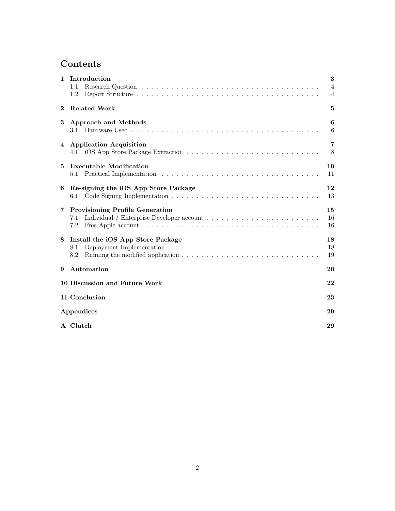# **Contents**

| 1        | Introduction<br>1.1<br>1.2                                                                                                                                              | 3<br>4<br>4    |  |  |  |
|----------|-------------------------------------------------------------------------------------------------------------------------------------------------------------------------|----------------|--|--|--|
| $\bf{2}$ | <b>Related Work</b>                                                                                                                                                     |                |  |  |  |
| 3        | <b>Approach and Methods</b><br>3.1                                                                                                                                      | 6<br>6         |  |  |  |
| 4        | <b>Application Acquisition</b>                                                                                                                                          | 7<br>8         |  |  |  |
| 5        | <b>Executable Modification</b><br>5.1                                                                                                                                   | 10<br>11       |  |  |  |
| 6        | Re-signing the iOS App Store Package<br>6.1                                                                                                                             | 12<br>13       |  |  |  |
| 7        | <b>Provisioning Profile Generation</b><br>7.1<br>Free Apple account $\ldots \ldots \ldots \ldots \ldots \ldots \ldots \ldots \ldots \ldots \ldots \ldots \ldots$<br>7.2 | 15<br>16<br>16 |  |  |  |
| 8        | Install the iOS App Store Package<br>8.1<br>8.2                                                                                                                         | 18<br>18<br>19 |  |  |  |
| 9        | Automation                                                                                                                                                              | 20             |  |  |  |
|          | 10 Discussion and Future Work                                                                                                                                           |                |  |  |  |
|          | 11 Conclusion                                                                                                                                                           |                |  |  |  |
|          | Appendices                                                                                                                                                              |                |  |  |  |
|          | A Clutch                                                                                                                                                                | 29             |  |  |  |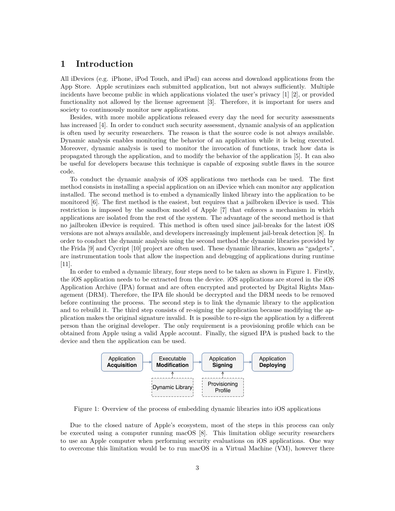# <span id="page-3-0"></span>**1 Introduction**

All iDevices (e.g. iPhone, iPod Touch, and iPad) can access and download applications from the App Store. Apple scrutinizes each submitted application, but not always sufficiently. Multiple incidents have become public in which applications violated the user's privacy [\[1\]](#page-24-0) [\[2\]](#page-24-1), or provided functionality not allowed by the license agreement [\[3\]](#page-24-2). Therefore, it is important for users and society to continuously monitor new applications.

Besides, with more mobile applications released every day the need for security assessments has increased [\[4\]](#page-24-3). In order to conduct such security assessment, dynamic analysis of an application is often used by security researchers. The reason is that the source code is not always available. Dynamic analysis enables monitoring the behavior of an application while it is being executed. Moreover, dynamic analysis is used to monitor the invocation of functions, track how data is propagated through the application, and to modify the behavior of the application [\[5\]](#page-24-4). It can also be useful for developers because this technique is capable of exposing subtle flaws in the source code.

To conduct the dynamic analysis of iOS applications two methods can be used. The first method consists in installing a special application on an iDevice which can monitor any application installed. The second method is to embed a dynamically linked library into the application to be monitored [\[6\]](#page-24-5). The first method is the easiest, but requires that a jailbroken iDevice is used. This restriction is imposed by the sandbox model of Apple [\[7\]](#page-24-6) that enforces a mechanism in which applications are isolated from the rest of the system. The advantage of the second method is that no jailbroken iDevice is required. This method is often used since jail-breaks for the latest iOS versions are not always available, and developers increasingly implement jail-break detection [\[8\]](#page-24-7). In order to conduct the dynamic analysis using the second method the dynamic libraries provided by the Frida [\[9\]](#page-24-8) and Cycript [\[10\]](#page-24-9) project are often used. These dynamic libraries, known as "gadgets", are instrumentation tools that allow the inspection and debugging of applications during runtime [\[11\]](#page-24-10).

In order to embed a dynamic library, four steps need to be taken as shown in [Figure 1.](#page-3-1) Firstly, the iOS application needs to be extracted from the device. iOS applications are stored in the iOS Application Archive (IPA) format and are often encrypted and protected by Digital Rights Management (DRM). Therefore, the IPA file should be decrypted and the DRM needs to be removed before continuing the process. The second step is to link the dynamic library to the application and to rebuild it. The third step consists of re-signing the application because modifying the application makes the original signature invalid. It is possible to re-sign the application by a different person than the original developer. The only requirement is a provisioning profile which can be obtained from Apple using a valid Apple account. Finally, the signed IPA is pushed back to the device and then the application can be used.



<span id="page-3-1"></span>Figure 1: Overview of the process of embedding dynamic libraries into iOS applications

Due to the closed nature of Apple's ecosystem, most of the steps in this process can only be executed using a computer running macOS [\[8\]](#page-24-7). This limitation oblige security researchers to use an Apple computer when performing security evaluations on iOS applications. One way to overcome this limitation would be to run macOS in a Virtual Machine (VM), however there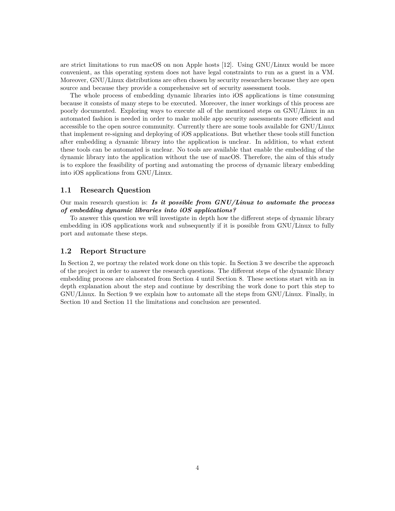are strict limitations to run macOS on non Apple hosts [\[12\]](#page-24-11). Using GNU/Linux would be more convenient, as this operating system does not have legal constraints to run as a guest in a VM. Moreover, GNU/Linux distributions are often chosen by security researchers because they are open source and because they provide a comprehensive set of security assessment tools.

The whole process of embedding dynamic libraries into iOS applications is time consuming because it consists of many steps to be executed. Moreover, the inner workings of this process are poorly documented. Exploring ways to execute all of the mentioned steps on GNU/Linux in an automated fashion is needed in order to make mobile app security assessments more efficient and accessible to the open source community. Currently there are some tools available for GNU/Linux that implement re-signing and deploying of iOS applications. But whether these tools still function after embedding a dynamic library into the application is unclear. In addition, to what extent these tools can be automated is unclear. No tools are available that enable the embedding of the dynamic library into the application without the use of macOS. Therefore, the aim of this study is to explore the feasibility of porting and automating the process of dynamic library embedding into iOS applications from GNU/Linux.

#### <span id="page-4-0"></span>**1.1 Research Question**

Our main research question is: *Is it possible from GNU/Linux to automate the process of embedding dynamic libraries into iOS applications?*

To answer this question we will investigate in depth how the different steps of dynamic library embedding in iOS applications work and subsequently if it is possible from GNU/Linux to fully port and automate these steps.

### <span id="page-4-1"></span>**1.2 Report Structure**

In Section [2,](#page-5-0) we portray the related work done on this topic. In Section [3](#page-6-0) we describe the approach of the project in order to answer the research questions. The different steps of the dynamic library embedding process are elaborated from Section [4](#page-7-0) until Section [8.](#page-18-0) These sections start with an in depth explanation about the step and continue by describing the work done to port this step to GNU/Linux. In Section [9](#page-20-0) we explain how to automate all the steps from GNU/Linux. Finally, in Section [10](#page-22-0) and Section [11](#page-23-0) the limitations and conclusion are presented.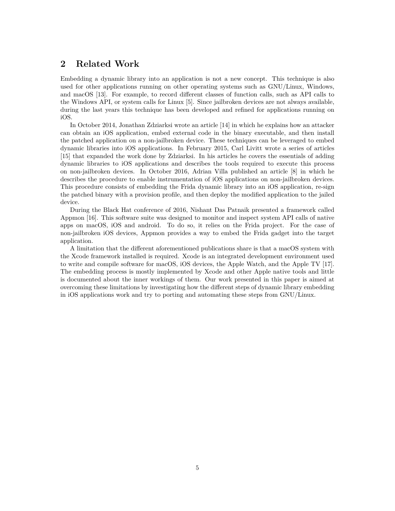# <span id="page-5-0"></span>**2 Related Work**

Embedding a dynamic library into an application is not a new concept. This technique is also used for other applications running on other operating systems such as GNU/Linux, Windows, and macOS [\[13\]](#page-24-12). For example, to record different classes of function calls, such as API calls to the Windows API, or system calls for Linux [\[5\]](#page-24-4). Since jailbroken devices are not always available, during the last years this technique has been developed and refined for applications running on iOS.

In October 2014, Jonathan Zdziarksi wrote an article [\[14\]](#page-24-13) in which he explains how an attacker can obtain an iOS application, embed external code in the binary executable, and then install the patched application on a non-jailbroken device. These techniques can be leveraged to embed dynamic libraries into iOS applications. In February 2015, Carl Livitt wrote a series of articles [\[15\]](#page-25-0) that expanded the work done by Zdziarksi. In his articles he covers the essentials of adding dynamic libraries to iOS applications and describes the tools required to execute this process on non-jailbroken devices. In October 2016, Adrian Villa published an article [\[8\]](#page-24-7) in which he describes the procedure to enable instrumentation of iOS applications on non-jailbroken devices. This procedure consists of embedding the Frida dynamic library into an iOS application, re-sign the patched binary with a provision profile, and then deploy the modified application to the jailed device.

During the Black Hat conference of 2016, Nishant Das Patnaik presented a framework called Appmon [\[16\]](#page-25-1). This software suite was designed to monitor and inspect system API calls of native apps on macOS, iOS and android. To do so, it relies on the Frida project. For the case of non-jailbroken iOS devices, Appmon provides a way to embed the Frida gadget into the target application.

A limitation that the different aforementioned publications share is that a macOS system with the Xcode framework installed is required. Xcode is an integrated development environment used to write and compile software for macOS, iOS devices, the Apple Watch, and the Apple TV [\[17\]](#page-25-2). The embedding process is mostly implemented by Xcode and other Apple native tools and little is documented about the inner workings of them. Our work presented in this paper is aimed at overcoming these limitations by investigating how the different steps of dynamic library embedding in iOS applications work and try to porting and automating these steps from GNU/Linux.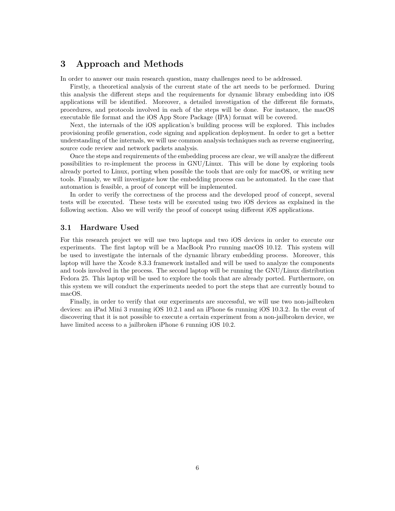# <span id="page-6-0"></span>**3 Approach and Methods**

In order to answer our main research question, many challenges need to be addressed.

Firstly, a theoretical analysis of the current state of the art needs to be performed. During this analysis the different steps and the requirements for dynamic library embedding into iOS applications will be identified. Moreover, a detailed investigation of the different file formats, procedures, and protocols involved in each of the steps will be done. For instance, the macOS executable file format and the iOS App Store Package (IPA) format will be covered.

Next, the internals of the iOS application's building process will be explored. This includes provisioning profile generation, code signing and application deployment. In order to get a better understanding of the internals, we will use common analysis techniques such as reverse engineering, source code review and network packets analysis.

Once the steps and requirements of the embedding process are clear, we will analyze the different possibilities to re-implement the process in GNU/Linux. This will be done by exploring tools already ported to Linux, porting when possible the tools that are only for macOS, or writing new tools. Finnaly, we will investigate how the embedding process can be automated. In the case that automation is feasible, a proof of concept will be implemented.

In order to verify the correctness of the process and the developed proof of concept, several tests will be executed. These tests will be executed using two iOS devices as explained in the following section. Also we will verify the proof of concept using different iOS applications.

## <span id="page-6-1"></span>**3.1 Hardware Used**

For this research project we will use two laptops and two iOS devices in order to execute our experiments. The first laptop will be a MacBook Pro running macOS 10.12. This system will be used to investigate the internals of the dynamic library embedding process. Moreover, this laptop will have the Xcode 8.3.3 framework installed and will be used to analyze the components and tools involved in the process. The second laptop will be running the GNU/Linux distribution Fedora 25. This laptop will be used to explore the tools that are already ported. Furthermore, on this system we will conduct the experiments needed to port the steps that are currently bound to macOS.

Finally, in order to verify that our experiments are successful, we will use two non-jailbroken devices: an iPad Mini 3 running iOS 10.2.1 and an iPhone 6s running iOS 10.3.2. In the event of discovering that it is not possible to execute a certain experiment from a non-jailbroken device, we have limited access to a jailbroken iPhone 6 running iOS 10.2.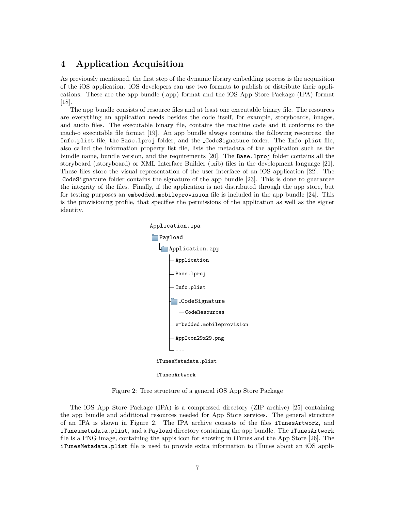# <span id="page-7-0"></span>**4 Application Acquisition**

As previously mentioned, the first step of the dynamic library embedding process is the acquisition of the iOS application. iOS developers can use two formats to publish or distribute their applications. These are the app bundle (.app) format and the iOS App Store Package (IPA) format [\[18\]](#page-25-3).

The app bundle consists of resource files and at least one executable binary file. The resources are everything an application needs besides the code itself, for example, storyboards, images, and audio files. The executable binary file, contains the machine code and it conforms to the mach-o executable file format [\[19\]](#page-25-4). An app bundle always contains the following resources: the Info.plist file, the Base.lproj folder, and the CodeSignature folder. The Info.plist file, also called the information property list file, lists the metadata of the application such as the bundle name, bundle version, and the requirements [\[20\]](#page-25-5). The Base.lproj folder contains all the storyboard (.storyboard) or XML Interface Builder (.xib) files in the development language [\[21\]](#page-25-6). These files store the visual representation of the user interface of an iOS application [\[22\]](#page-25-7). The CodeSignature folder contains the signature of the app bundle [\[23\]](#page-25-8). This is done to guarantee the integrity of the files. Finally, if the application is not distributed through the app store, but for testing purposes an embedded.mobileprovision file is included in the app bundle [\[24\]](#page-25-9). This is the provisioning profile, that specifies the permissions of the application as well as the signer identity.



<span id="page-7-1"></span>Figure 2: Tree structure of a general iOS App Store Package

The iOS App Store Package (IPA) is a compressed directory (ZIP archive) [\[25\]](#page-25-10) containing the app bundle and additional resources needed for App Store services. The general structure of an IPA is shown in [Figure 2.](#page-7-1) The IPA archive consists of the files iTunesArtwork, and iTunesmetadata.plist, and a Payload directory containing the app bundle. The iTunesArtwork file is a PNG image, containing the app's icon for showing in iTunes and the App Store [\[26\]](#page-25-11). The iTunesMetadata.plist file is used to provide extra information to iTunes about an iOS appli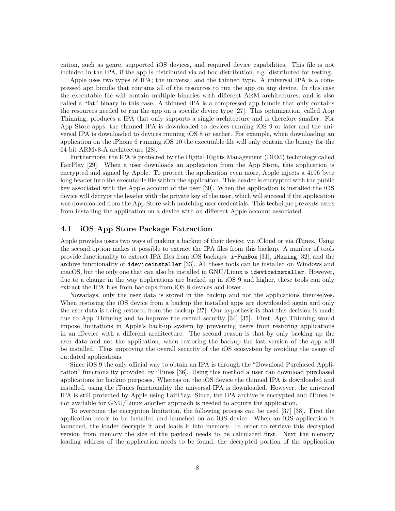cation, such as genre, supported iOS devices, and required device capabilities. This file is not included in the IPA, if the app is distributed via ad hoc distribution, e.g. distributed for testing.

Apple uses two types of IPA; the universal and the thinned type. A universal IPA is a compressed app bundle that contains all of the resources to run the app on any device. In this case the executable file will contain multiple binaries with different ARM architectures, and is also called a "fat" binary in this case. A thinned IPA is a compressed app bundle that only contains the resources needed to run the app on a specific device type [\[27\]](#page-25-12). This optimization, called App Thinning, produces a IPA that only supports a single architecture and is therefore smaller. For App Store apps, the thinned IPA is downloaded to devices running iOS 9 or later and the universal IPA is downloaded to devices running iOS 8 or earlier. For example, when downloading an application on the iPhone 6 running iOS 10 the executable file will only contain the binary for the 64 bit ARMv8-A architecture [\[28\]](#page-25-13).

Furthermore, the IPA is protected by the Digital Rights Management (DRM) technology called FairPlay [\[29\]](#page-25-14). When a user downloads an application from the App Store, this application is encrypted and signed by Apple. To protect the application even more, Apple injects a 4196 byte long header into the executable file within the application. This header is encrypted with the public key associated with the Apple account of the user [\[30\]](#page-26-0). When the application is installed the iOS device will decrypt the header with the private key of the user, which will succeed if the application was downloaded from the App Store with matching user credentials. This technique prevents users from installing the application on a device with an different Apple account associated.

## <span id="page-8-0"></span>**4.1 iOS App Store Package Extraction**

Apple provides users two ways of making a backup of their device; via iCloud or via iTunes. Using the second option makes it possible to extract the IPA files from this backup. A number of tools provide functionality to extract IPA files from iOS backups: i-FunBox [\[31\]](#page-26-1), iMazing [\[32\]](#page-26-2), and the archive functionality of ideviceinstaller [\[33\]](#page-26-3). All these tools can be installed on Windows and macOS, but the only one that can also be installed in GNU/Linux is ideviceinstaller. However, due to a change in the way applications are backed up in iOS 9 and higher, these tools can only extract the IPA files from backups from iOS 8 devices and lower.

Nowadays, only the user data is stored in the backup and not the applications themselves. When restoring the iOS device from a backup the installed apps are downloaded again and only the user data is being restored from the backup [\[27\]](#page-25-12). Our hypothesis is that this decision is made due to App Thinning and to improve the overall security [\[34\]](#page-26-4) [\[35\]](#page-26-5). First, App Thinning would impose limitations in Apple's back-up system by preventing users from restoring applications in an iDevice with a different architecture. The second reason is that by only backing up the user data and not the application, when restoring the backup the last version of the app will be installed. Thus improving the overall security of the iOS ecosystem by avoiding the usage of outdated applications.

Since iOS 9 the only official way to obtain an IPA is through the "Download Purchased Application" functionality provided by iTunes [\[36\]](#page-26-6). Using this method a user can download purchased applications for backup purposes. Whereas on the iOS device the thinned IPA is downloaded and installed, using the iTunes functionality the universal IPA is downloaded. However, the universal IPA is still protected by Apple using FairPlay. Since, the IPA archive is encrypted and iTunes is not available for GNU/Linux another approach is needed to acquire the application.

To overcome the encryption limitation, the following process can be used [\[37\]](#page-26-7) [\[38\]](#page-26-8). First the application needs to be installed and launched on an iOS device. When an iOS application is launched, the loader decrypts it and loads it into memory. In order to retrieve this decrypted version from memory the size of the payload needs to be calculated first. Next the memory loading address of the application needs to be found, the decrypted portion of the application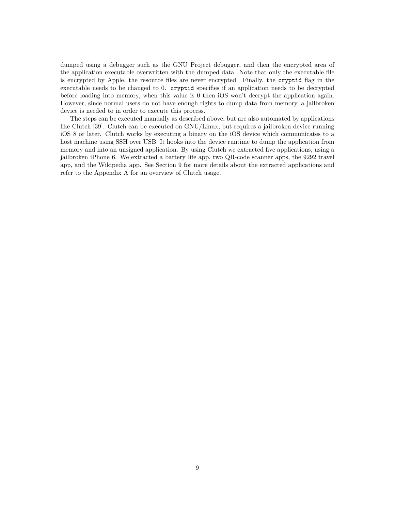dumped using a debugger such as the GNU Project debugger, and then the encrypted area of the application executable overwritten with the dumped data. Note that only the executable file is encrypted by Apple, the resource files are never encrypted. Finally, the cryptid flag in the executable needs to be changed to 0. cryptid specifies if an application needs to be decrypted before loading into memory, when this value is 0 then iOS won't decrypt the application again. However, since normal users do not have enough rights to dump data from memory, a jailbroken device is needed to in order to execute this process.

The steps can be executed manually as described above, but are also automated by applications like Clutch [\[39\]](#page-26-9). Clutch can be executed on GNU/Linux, but requires a jailbroken device running iOS 8 or later. Clutch works by executing a binary on the iOS device which communicates to a host machine using SSH over USB. It hooks into the device runtime to dump the application from memory and into an unsigned application. By using Clutch we extracted five applications, using a jailbroken iPhone 6. We extracted a battery life app, two QR-code scanner apps, the 9292 travel app, and the Wikipedia app. See Section [9](#page-20-0) for more details about the extracted applications and refer to the Appendix [A](#page-29-1) for an overview of Clutch usage.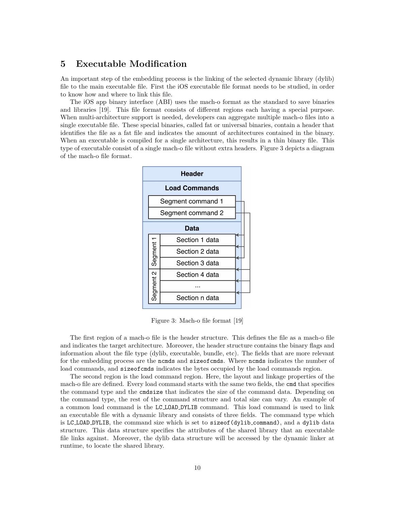# <span id="page-10-0"></span>**5 Executable Modification**

An important step of the embedding process is the linking of the selected dynamic library (dylib) file to the main executable file. First the iOS executable file format needs to be studied, in order to know how and where to link this file.

The iOS app binary interface (ABI) uses the mach-o format as the standard to save binaries and libraries [\[19\]](#page-25-4). This file format consists of different regions each having a special purpose. When multi-architecture support is needed, developers can aggregate multiple mach-o files into a single executable file. These special binaries, called fat or universal binaries, contain a header that identifies the file as a fat file and indicates the amount of architectures contained in the binary. When an executable is compiled for a single architecture, this results in a thin binary file. This type of executable consist of a single mach-o file without extra headers. [Figure 3](#page-10-1) depicts a diagram of the mach-o file format.



<span id="page-10-1"></span>Figure 3: Mach-o file format [\[19\]](#page-25-4)

The first region of a mach-o file is the header structure. This defines the file as a mach-o file and indicates the target architecture. Moreover, the header structure contains the binary flags and information about the file type (dylib, executable, bundle, etc). The fields that are more relevant for the embedding process are the normeds and size of commonly all the number of the number of load commands, and sizeofcmds indicates the bytes occupied by the load commands region.

The second region is the load command region. Here, the layout and linkage properties of the mach-o file are defined. Every load command starts with the same two fields, the cmd that specifies the command type and the cmdsize that indicates the size of the command data. Depending on the command type, the rest of the command structure and total size can vary. An example of a common load command is the LC LOAD DYLIB command. This load command is used to link an executable file with a dynamic library and consists of three fields. The command type which is LC LOAD DYLIB, the command size which is set to sizeof(dylib command), and a dylib data structure. This data structure specifies the attributes of the shared library that an executable file links against. Moreover, the dylib data structure will be accessed by the dynamic linker at runtime, to locate the shared library.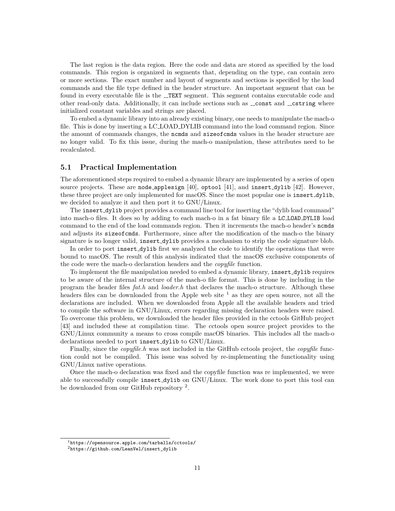The last region is the data region. Here the code and data are stored as specified by the load commands. This region is organized in segments that, depending on the type, can contain zero or more sections. The exact number and layout of segments and sections is specified by the load commands and the file type defined in the header structure. An important segment that can be found in every executable file is the \_TEXT segment. This segment contains executable code and other read-only data. Additionally, it can include sections such as  $\bot$ const and  $\bot$ cstring where initialized constant variables and strings are placed.

To embed a dynamic library into an already existing binary, one needs to manipulate the mach-o file. This is done by inserting a LC LOAD DYLIB command into the load command region. Since the amount of commands changes, the normal and size of commonly values in the header structure are no longer valid. To fix this issue, during the mach-o manipulation, these attributes need to be recalculated.

## <span id="page-11-0"></span>**5.1 Practical Implementation**

The aforementioned steps required to embed a dynamic library are implemented by a series of open source projects. These are node applesign  $[40]$ , optool  $[41]$ , and insert dylib  $[42]$ . However, these three project are only implemented for macOS. Since the most popular one is insert\_dylib, we decided to analyze it and then port it to GNU/Linux.

The insert\_dylib project provides a command line tool for inserting the "dylib load command" into mach-o files. It does so by adding to each mach-o in a fat binary file a LC LOAD DYLIB load command to the end of the load commands region. Then it increments the mach-o header's ncmds and adjusts its size of commonless. Furthermore, since after the modification of the mach-o the binary signature is no longer valid, insert dylib provides a mechanism to strip the code signature blob.

In order to port insert\_dylib first we analyzed the code to identify the operations that were bound to macOS. The result of this analysis indicated that the macOS exclusive components of the code were the mach-o declaration headers and the *copyfile* function.

To implement the file manipulation needed to embed a dynamic library, insert dylib requires to be aware of the internal structure of the mach-o file format. This is done by including in the program the header files *fat.h* and *loader.h* that declares the mach-o structure. Although these headers files can be downloaded from the Apple web site  $<sup>1</sup>$  $<sup>1</sup>$  $<sup>1</sup>$  as they are open source, not all the</sup> declarations are included. When we downloaded from Apple all the available headers and tried to compile the software in GNU/Linux, errors regarding missing declaration headers were raised. To overcome this problem, we downloaded the header files provided in the cctools GitHub project [\[43\]](#page-26-13) and included these at compilation time. The cctools open source project provides to the GNU/Linux community a means to cross compile macOS binaries. This includes all the mach-o declarations needed to port insert\_dylib to GNU/Linux.

Finally, since the *copyfile.h* was not included in the GitHub cctools project, the *copyfile* function could not be compiled. This issue was solved by re-implementing the functionality using GNU/Linux native operations.

Once the mach-o declaration was fixed and the copyfile function was re implemented, we were able to successfully compile insert dylib on GNU/Linux. The work done to port this tool can be downloaded from our GitHub repository<sup>[2](#page-11-2)</sup>.

<span id="page-11-1"></span><sup>1</sup><https://opensource.apple.com/tarballs/cctools/>

<span id="page-11-2"></span><sup>2</sup>[https://github.com/LeanVel/insert\\_dylib](https://github.com/LeanVel/insert_dylib)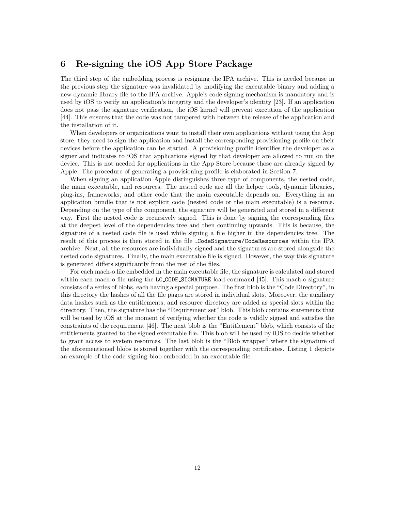# <span id="page-12-0"></span>**6 Re-signing the iOS App Store Package**

The third step of the embedding process is resigning the IPA archive. This is needed because in the previous step the signature was invalidated by modifying the executable binary and adding a new dynamic library file to the IPA archive. Apple's code signing mechanism is mandatory and is used by iOS to verify an application's integrity and the developer's identity [\[23\]](#page-25-8). If an application does not pass the signature verification, the iOS kernel will prevent execution of the application [\[44\]](#page-26-14). This ensures that the code was not tampered with between the release of the application and the installation of it.

When developers or organizations want to install their own applications without using the App store, they need to sign the application and install the corresponding provisioning profile on their devices before the application can be started. A provisioning profile identifies the developer as a signer and indicates to iOS that applications signed by that developer are allowed to run on the device. This is not needed for applications in the App Store because those are already signed by Apple. The procedure of generating a provisioning profile is elaborated in Section [7.](#page-15-0)

When signing an application Apple distinguishes three type of components, the nested code, the main executable, and resources. The nested code are all the helper tools, dynamic libraries, plug-ins, frameworks, and other code that the main executable depends on. Everything in an application bundle that is not explicit code (nested code or the main executable) is a resource. Depending on the type of the component, the signature will be generated and stored in a different way. First the nested code is recursively signed. This is done by signing the corresponding files at the deepest level of the dependencies tree and then continuing upwards. This is because, the signature of a nested code file is used while signing a file higher in the dependencies tree. The result of this process is then stored in the file CodeSignature/CodeResources within the IPA archive. Next, all the resources are individually signed and the signatures are stored alongside the nested code signatures. Finally, the main executable file is signed. However, the way this signature is generated differs significantly from the rest of the files.

For each mach-o file embedded in the main executable file, the signature is calculated and stored within each mach-o file using the LC\_CODE\_SIGNATURE load command [\[45\]](#page-26-15). This mach-o signature consists of a series of blobs, each having a special purpose. The first blob is the "Code Directory", in this directory the hashes of all the file pages are stored in individual slots. Moreover, the auxiliary data hashes such as the entitlements, and resource directory are added as special slots within the directory. Then, the signature has the "Requirement set" blob. This blob contains statements that will be used by iOS at the moment of verifying whether the code is validly signed and satisfies the constraints of the requirement [\[46\]](#page-27-0). The next blob is the "Entitlement" blob, which consists of the entitlements granted to the signed executable file. This blob will be used by iOS to decide whether to grant access to system resources. The last blob is the "Blob wrapper" where the signature of the aforementioned blobs is stored together with the corresponding certificates. [Listing 1](#page-13-1) depicts an example of the code signing blob embedded in an executable file.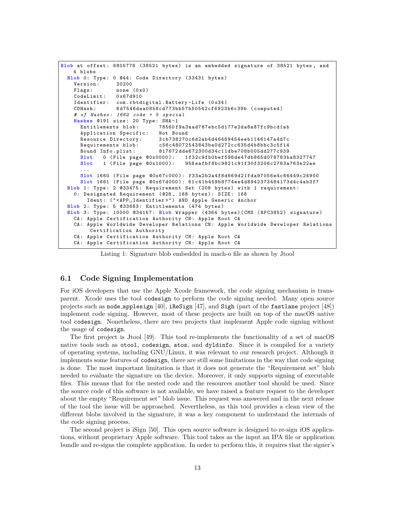```
Blob at offset : 6805776 (38521 bytes ) is an embedded signature of 38521 bytes , and
    4 blobs
  Blob 0: Type: 0 @44: Code Directory (33431 bytes)<br>Version: 20200
    Version:
    Flags: none (0x0)<br>CodeLimit: 0x67d910
    CodeLimit:<br>Identifier:
                 com.rbtdigital.Battery-Life (0x34)
    CDHash : 8 d7546dea0858cd773bb57b50542cf6923b6c39b ( computed )
    # of Hashes : 1662 code + 5 special
    Hashes @191 size: 20 Type: SHA-1
      Entitlements blob: 78560f9a3aad787ebc5d177e2da8a87fc9bcd1ab
      Application Specific: Not Bound
      Resource Directory: 3cb738270c6d2ab4d46469454eeb1146147a4d7c<br>Requirements blob: c56c48072543843ba0d272cc635d4b8bbc3c5f14
                                 Requirements blob : c56c48072543843ba0d272cc635d4b8bbc3c5f14
      Bound Info . plist : 817672 dde672300d34c11dbe708b005dd277c939
      Slot 0 ( File page @0x0000 ): 1 f32c9fb0bef596de47db865d078783ba8327747
      Slot 1 ( File page @0x1000 ): 958 eafbf8bc9821c91f30f3206c2783a763e22ae
      ...
      Slot 1660 ( File page @0x67c000 ): f33a2b2a4f8d669d21fda97056e4c66449c24900
      Slot 1661 ( File page @0x67d000 ): 61 c41b459b8774ee4d8942373484173d4c4ab3f7
  Blob 1: Type : 2 @33475 : Requirement Set (208 bytes ) with 1 requirement :
    0: Designated Requirement (028, 168 bytes): SIZE: 168
        Ident : ( " < APP ␣ Identifier >") AND Apple Generic Anchor
  Blob 2: Type: 5 033683: Entitlements (474 bytes)
  Blob 3: Type : 10000 @34157 : Blob Wrapper (4364 bytes )( CMS ( RFC3852 ) signature )
    CA : Apple Certification Authority CN : Apple Root CA
    CA : Apple Worldwide Developer Relations CN : Apple Worldwide Developer Relations
         Certification Authority
    CA: Apple Certification Authority CN: Apple Root CA
    CA: Apple Certification Authority CN: Apple Root CA
```
Listing 1: Signature blob embedded in mach-o file as shown by Jtool

## <span id="page-13-0"></span>**6.1 Code Signing Implementation**

For iOS developers that use the Apple Xcode framework, the code signing mechanism is transparent. Xcode uses the tool codesign to perform the code signing needed. Many open source projects such as node applesign  $[40]$ , iReSign  $[47]$ , and Sigh (part of the fastlane project  $[48]$ ) implement code signing. However, most of these projects are built on top of the macOS native tool codesign. Nonetheless, there are two projects that implement Apple code signing without the usage of codesign.

The first project is Jtool [\[49\]](#page-27-3). This tool re-implements the functionality of a set of macOS native tools such as otool, codesign, atos, and dyldinfo. Since it is compiled for a variety of operating systems, including GNU/Linux, it was relevant to our research project. Although it implements some features of codesign, there are still some limitations in the way that code signing is done. The most important limitation is that it does not generate the "Requirement set" blob needed to evaluate the signature on the device. Moreover, it only supports signing of executable files. This means that for the nested code and the resources another tool should be used. Since the source code of this software is not available, we have raised a feature request to the developer about the empty "Requirement set" blob issue. This request was answered and in the next release of the tool the issue will be approached. Nevertheless, as this tool provides a clean view of the different blobs involved in the signature, it was a key component to understand the internals of the code signing process.

The second project is iSign [\[50\]](#page-27-4). This open source software is designed to re-sign iOS applications, without proprietary Apple software. This tool takes as the input an IPA file or application bundle and re-signs the complete application. In order to perform this, it requires that the signer's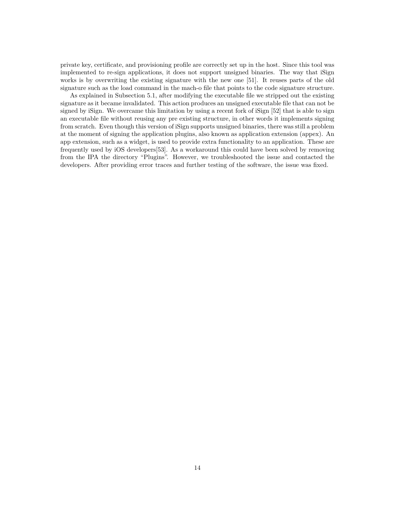private key, certificate, and provisioning profile are correctly set up in the host. Since this tool was implemented to re-sign applications, it does not support unsigned binaries. The way that iSign works is by overwriting the existing signature with the new one [\[51\]](#page-27-5). It reuses parts of the old signature such as the load command in the mach-o file that points to the code signature structure.

As explained in Subsection [5.1,](#page-11-0) after modifying the executable file we stripped out the existing signature as it became invalidated. This action produces an unsigned executable file that can not be signed by iSign. We overcame this limitation by using a recent fork of iSign [\[52\]](#page-27-6) that is able to sign an executable file without reusing any pre existing structure, in other words it implements signing from scratch. Even though this version of iSign supports unsigned binaries, there was still a problem at the moment of signing the application plugins, also known as application extension (appex). An app extension, such as a widget, is used to provide extra functionality to an application. These are frequently used by iOS developers[\[53\]](#page-27-7). As a workaround this could have been solved by removing from the IPA the directory "Plugins". However, we troubleshooted the issue and contacted the developers. After providing error traces and further testing of the software, the issue was fixed.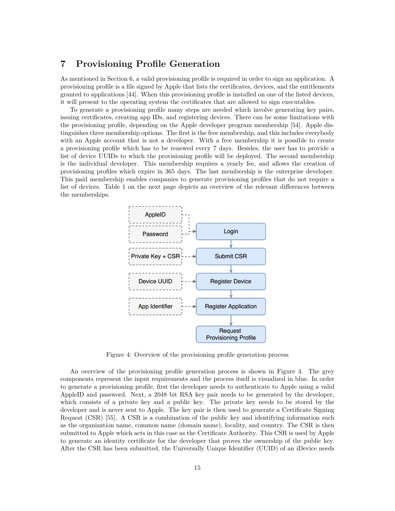# <span id="page-15-0"></span>**7 Provisioning Profile Generation**

As mentioned in Section [6,](#page-12-0) a valid provisioning profile is required in order to sign an application. A provisioning profile is a file signed by Apple that lists the certificates, devices, and the entitlements granted to applications [\[44\]](#page-26-14). When this provisioning profile is installed on one of the listed devices, it will present to the operating system the certificates that are allowed to sign executables.

To generate a provisioning profile many steps are needed which involve generating key pairs, issuing certificates, creating app IDs, and registering devices. There can be some limitations with the provisioning profile, depending on the Apple developer program membership [\[54\]](#page-27-8). Apple distinguishes three membership options. The first is the free membership, and this includes everybody with an Apple account that is not a developer. With a free membership it is possible to create a provisioning profile which has to be renewed every 7 days. Besides, the user has to provide a list of device UUIDs to which the provisioning profile will be deployed. The second membership is the individual developer. This membership requires a yearly fee, and allows the creation of provisioning profiles which expire in 365 days. The last membership is the enterprise developer. This paid membership enables companies to generate provisioning profiles that do not require a list of devices. [Table 1](#page-16-2) on the next page depicts an overview of the relevant differences between the memberships.



<span id="page-15-1"></span>Figure 4: Overview of the provisioning profile generation process

An overview of the provisioning profile generation process is shown in [Figure 4.](#page-15-1) The grey components represent the input requirements and the process itself is visualized in blue. In order to generate a provisioning profile, first the developer needs to authenticate to Apple using a valid AppleID and password. Next, a 2048 bit RSA key pair needs to be generated by the developer, which consists of a private key and a public key. The private key needs to be stored by the developer and is never sent to Apple. The key pair is then used to generate a Certificate Signing Request (CSR) [\[55\]](#page-27-9). A CSR is a combination of the public key and identifying information such as the organization name, common name (domain name), locality, and country. The CSR is then submitted to Apple which acts in this case as the Certificate Authority. This CSR is used by Apple to generate an identity certificate for the developer that proves the ownership of the public key. After the CSR has been submitted, the Universally Unique Identifier (UUID) of an iDevice needs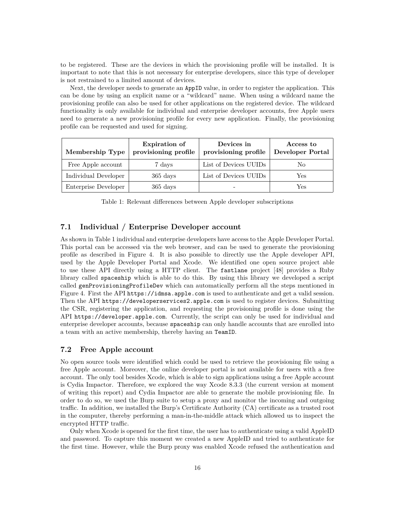to be registered. These are the devices in which the provisioning profile will be installed. It is important to note that this is not necessary for enterprise developers, since this type of developer is not restrained to a limited amount of devices.

Next, the developer needs to generate an AppID value, in order to register the application. This can be done by using an explicit name or a "wildcard" name. When using a wildcard name the provisioning profile can also be used for other applications on the registered device. The wildcard functionality is only available for individual and enterprise developer accounts, free Apple users need to generate a new provisioning profile for every new application. Finally, the provisioning profile can be requested and used for signing.

| Membership Type      | <b>Expiration</b> of<br>provisioning profile | Devices in<br>provisioning profile | Access to<br>Developer Portal |
|----------------------|----------------------------------------------|------------------------------------|-------------------------------|
| Free Apple account   | 7 days                                       | List of Devices UUIDs              | No                            |
| Individual Developer | $365 \mathrm{days}$                          | List of Devices UUIDs              | Yes                           |
| Enterprise Developer | $365 \mathrm{days}$                          |                                    | Yes                           |

<span id="page-16-2"></span>Table 1: Relevant differences between Apple developer subscriptions

## <span id="page-16-0"></span>**7.1 Individual / Enterprise Developer account**

As shown in [Table 1](#page-16-2) individual and enterprise developers have access to the Apple Developer Portal. This portal can be accessed via the web browser, and can be used to generate the provisioning profile as described in [Figure 4.](#page-15-1) It is also possible to directly use the Apple developer API, used by the Apple Developer Portal and Xcode. We identified one open source project able to use these API directly using a HTTP client. The fastlane project [\[48\]](#page-27-2) provides a Ruby library called spaceship which is able to do this. By using this library we developed a script called genProvisioningProfileDev which can automatically perform all the steps mentioned in [Figure 4.](#page-15-1) First the API https://idmsa.apple.com is used to authenticate and get a valid session. Then the API https://developerservices2.apple.com is used to register devices. Submitting the CSR, registering the application, and requesting the provisioning profile is done using the API https://developer.apple.com. Currently, the script can only be used for individual and enterprise developer accounts, because spaceship can only handle accounts that are enrolled into a team with an active membership, thereby having an TeamID.

## <span id="page-16-1"></span>**7.2 Free Apple account**

No open source tools were identified which could be used to retrieve the provisioning file using a free Apple account. Moreover, the online developer portal is not available for users with a free account. The only tool besides Xcode, which is able to sign applications using a free Apple account is Cydia Impactor. Therefore, we explored the way Xcode 8.3.3 (the current version at moment of writing this report) and Cydia Impactor are able to generate the mobile provisioning file. In order to do so, we used the Burp suite to setup a proxy and monitor the incoming and outgoing traffic. In addition, we installed the Burp's Certificate Authority (CA) certificate as a trusted root in the computer, thereby performing a man-in-the-middle attack which allowed us to inspect the encrypted HTTP traffic.

Only when Xcode is opened for the first time, the user has to authenticate using a valid AppleID and password. To capture this moment we created a new AppleID and tried to authenticate for the first time. However, while the Burp proxy was enabled Xcode refused the authentication and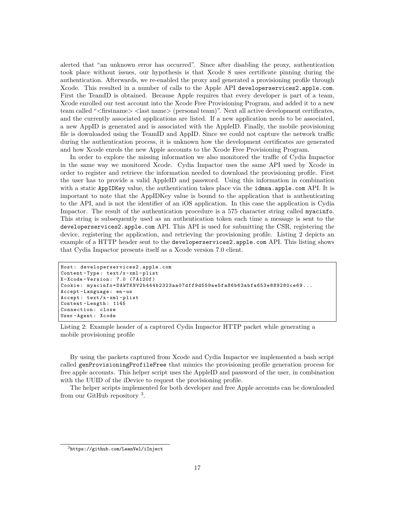alerted that "an unknown error has occurred". Since after disabling the proxy, authentication took place without issues, our hypothesis is that Xcode 8 uses certificate pinning during the authentication. Afterwards, we re-enabled the proxy and generated a provisioning profile through Xcode. This resulted in a number of calls to the Apple API developerservices2.apple.com. First the TeamID is obtained. Because Apple requires that every developer is part of a team, Xcode enrolled our test account into the Xcode Free Provisioning Program, and added it to a new team called "*<*firstname*> <*last name*>* (personal team)". Next all active development certificates, and the currently associated applications are listed. If a new application needs to be associated, a new AppID is generated and is associated with the AppleID. Finally, the mobile provisioning file is downloaded using the TeamID and AppID. Since we could not capture the network traffic during the authentication process, it is unknown how the development certificates are generated and how Xcode enrols the new Apple accounts to the Xcode Free Provisioning Program.

In order to explore the missing information we also monitored the traffic of Cydia Impactor in the same way we monitored Xcode. Cydia Impactor uses the same API used by Xcode in order to register and retrieve the information needed to download the provisioning profile. First the user has to provide a valid AppleID and password. Using this information in combination with a static AppIDKey value, the authentication takes place via the idmsa.apple.com API. It is important to note that the AppIDKey value is bound to the application that is authenticating to the API, and is not the identifier of an iOS application. In this case the application is Cydia Impactor. The result of the authentication procedure is a 575 character string called myacinfo. This string is subsequently used as an authentication token each time a message is sent to the developerservices2.apple.com API. This API is used for submitting the CSR, registering the device, registering the application, and retrieving the provisioning profile. [Listing 2](#page-17-0) depicts an example of a HTTP header sent to the developerservices2.apple.com API. This listing shows that Cydia Impactor presents itself as a Xcode version 7.0 client.

```
Host : developerservices2 . apple . com
Content - Type : text /x - xml - plist
X - Xcode - Version : 7.0 (7 A120f )
Cookie : myacinfo = DAWTKNV2b444b2323aa07dff9d559ae5fa86b63abfa653e889280ce69 ...
Accept - Language : en - us
Accept : text /x - xml - plist
Content - Length : 1145
Connection : close
User - Agent : Xcode
```
Listing 2: Example header of a captured Cydia Impactor HTTP packet while generating a mobile provisioning profile

By using the packets captured from Xcode and Cydia Impactor we implemented a bash script called genProvisioningProfileFree that mimics the provisioning profile generation process for free apple accounts. This helper script uses the AppleID and password of the user, in combination with the UUID of the iDevice to request the provisioning profile.

The helper scripts implemented for both developer and free Apple accounts can be downloaded from our GitHub repository<sup>[3](#page-17-1)</sup>.

<span id="page-17-1"></span> $3$ <https://github.com/LeanVel/iInject>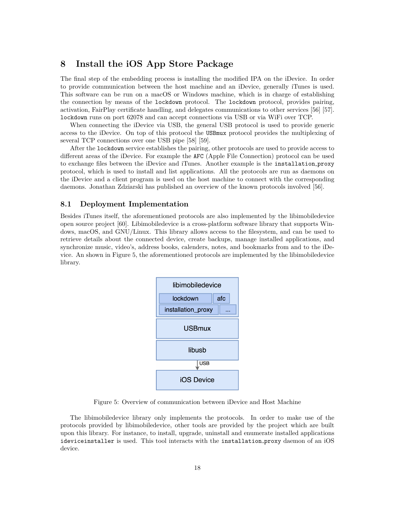# <span id="page-18-0"></span>**8 Install the iOS App Store Package**

The final step of the embedding process is installing the modified IPA on the iDevice. In order to provide communication between the host machine and an iDevice, generally iTunes is used. This software can be run on a macOS or Windows machine, which is in charge of establishing the connection by means of the lockdown protocol. The lockdown protocol, provides pairing, activation, FairPlay certificate handling, and delegates communications to other services [\[56\]](#page-27-10) [\[57\]](#page-27-11). lockdown runs on port 62078 and can accept connections via USB or via WiFi over TCP.

When connecting the iDevice via USB, the general USB protocol is used to provide generic access to the iDevice. On top of this protocol the USBmux protocol provides the multiplexing of several TCP connections over one USB pipe [\[58\]](#page-27-12) [\[59\]](#page-27-13).

After the lockdown service establishes the pairing, other protocols are used to provide access to different areas of the iDevice. For example the AFC (Apple File Connection) protocol can be used to exchange files between the iDevice and iTunes. Another example is the installation proxy protocol, which is used to install and list applications. All the protocols are run as daemons on the iDevice and a client program is used on the host machine to connect with the corresponding daemons. Jonathan Zdziarski has published an overview of the known protocols involved [\[56\]](#page-27-10).

### <span id="page-18-1"></span>**8.1 Deployment Implementation**

Besides iTunes itself, the aforementioned protocols are also implemented by the libimobiledevice open source project [\[60\]](#page-27-14). Libimobiledevice is a cross-platform software library that supports Windows, macOS, and GNU/Linux. This library allows access to the filesystem, and can be used to retrieve details about the connected device, create backups, manage installed applications, and synchronize music, video's, address books, calenders, notes, and bookmarks from and to the iDevice. An shown in [Figure 5,](#page-18-2) the aforementioned protocols are implemented by the libimobiledevice library.



<span id="page-18-2"></span>Figure 5: Overview of communication between iDevice and Host Machine

The libimobiledevice library only implements the protocols. In order to make use of the protocols provided by libimobiledevice, other tools are provided by the project which are built upon this library. For instance, to install, upgrade, uninstall and enumerate installed applications ideviceinstaller is used. This tool interacts with the installation proxy daemon of an iOS device.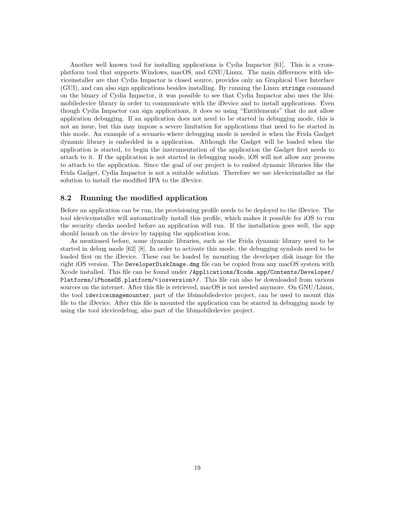Another well known tool for installing applications is Cydia Impactor [\[61\]](#page-27-15). This is a crossplatform tool that supports Windows, macOS, and GNU/Linux. The main differences with ideviceinstaller are that Cydia Impactor is closed source, provides only an Graphical User Interface (GUI), and can also sign applications besides installing. By running the Linux strings command on the binary of Cydia Impactor, it was possible to see that Cydia Impactor also uses the libimobiledevice library in order to communicate with the iDevice and to install applications. Even though Cydia Impactor can sign applications, it does so using "Entitlements" that do not allow application debugging. If an application does not need to be started in debugging mode, this is not an issue, but this may impose a severe limitation for applications that need to be started in this mode. An example of a scenario where debugging mode is needed is when the Frida Gadget dynamic library is embedded in a application. Although the Gadget will be loaded when the application is started, to begin the instrumentation of the application the Gadget first needs to attach to it. If the application is not started in debugging mode, iOS will not allow any process to attach to the application. Since the goal of our project is to embed dynamic libraries like the Frida Gadget, Cydia Impactor is not a suitable solution. Therefore we use ideviceinstaller as the solution to install the modified IPA to the iDevice.

## <span id="page-19-0"></span>**8.2 Running the modified application**

Before an application can be run, the provisioning profile needs to be deployed to the iDevice. The tool ideviceinstaller will automatically install this profile, which makes it possible for iOS to run the security checks needed before an application will run. If the installation goes well, the app should launch on the device by tapping the application icon.

As mentioned before, some dynamic libraries, such as the Frida dynamic library need to be started in debug mode [\[62\]](#page-28-0) [\[8\]](#page-24-7). In order to activate this mode, the debugging symbols need to be loaded first on the iDevice. These can be loaded by mounting the developer disk image for the right iOS version. The DeveloperDiskImage.dmg file can be copied from any macOS system with Xcode installed. This file can be found under /Applications/Xcode.app/Contents/Developer/ Platforms/iPhoneOS.platform/<iosversion>/. This file can also be downloaded from various sources on the internet. After this file is retrieved, macOS is not needed anymore. On GNU/Linux, the tool ideviceimagemounter, part of the libimobiledevice project, can be used to mount this file to the iDevice. After this file is mounted the application can be started in debugging mode by using the tool idevicedebug, also part of the libimobiledevice project.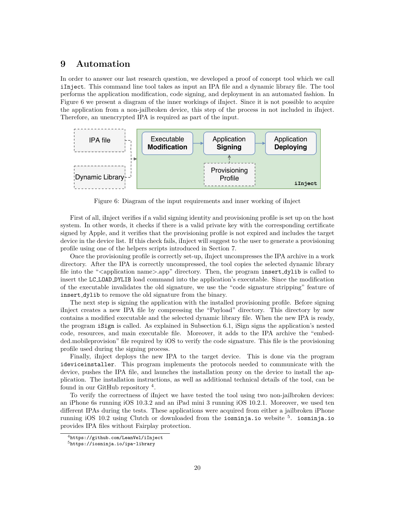# <span id="page-20-0"></span>**9 Automation**

In order to answer our last research question, we developed a proof of concept tool which we call iInject. This command line tool takes as input an IPA file and a dynamic library file. The tool performs the application modification, code signing, and deployment in an automated fashion. In [Figure 6](#page-20-1) we present a diagram of the inner workings of iInject. Since it is not possible to acquire the application from a non-jailbroken device, this step of the process in not included in iInject. Therefore, an unencrypted IPA is required as part of the input.



<span id="page-20-1"></span>Figure 6: Diagram of the input requirements and inner working of iInject

First of all, iInject verifies if a valid signing identity and provisioning profile is set up on the host system. In other words, it checks if there is a valid private key with the corresponding certificate signed by Apple, and it verifies that the provisioning profile is not expired and includes the target device in the device list. If this check fails, iInject will suggest to the user to generate a provisioning profile using one of the helpers scripts introduced in Section [7.](#page-15-0)

Once the provisioning profile is correctly set-up, iInject uncompresses the IPA archive in a work directory. After the IPA is correctly uncompressed, the tool copies the selected dynamic library file into the "*<*application name*>*.app" directory. Then, the program insert dylib is called to insert the LC LOAD DYLIB load command into the application's executable. Since the modification of the executable invalidates the old signature, we use the "code signature stripping" feature of insert dylib to remove the old signature from the binary.

The next step is signing the application with the installed provisioning profile. Before signing iInject creates a new IPA file by compressing the "Payload" directory. This directory by now contains a modified executable and the selected dynamic library file. When the new IPA is ready, the program iSign is called. As explained in Subsection [6.1,](#page-13-0) iSign signs the application's nested code, resources, and main executable file. Moreover, it adds to the IPA archive the "embedded.mobileprovision" file required by iOS to verify the code signature. This file is the provisioning profile used during the signing process.

Finally, iInject deploys the new IPA to the target device. This is done via the program ideviceinstaller. This program implements the protocols needed to communicate with the device, pushes the IPA file, and launches the installation proxy on the device to install the application. The installation instructions, as well as additional technical details of the tool, can be found in our GitHub repository<sup>[4](#page-20-2)</sup>.

To verify the correctness of iInject we have tested the tool using two non-jailbroken devices: an iPhone 6s running iOS 10.3.2 and an iPad mini 3 running iOS 10.2.1. Moreover, we used ten different IPAs during the tests. These applications were acquired from either a jailbroken iPhone running iOS 10.2 using Clutch or downloaded from the iosninja.io website <sup>[5](#page-20-3)</sup>. iosninja.io provides IPA files without Fairplay protection.

<span id="page-20-2"></span><sup>4</sup><https://github.com/LeanVel/iInject>

<span id="page-20-3"></span><sup>5</sup><https://iosninja.io/ipa-library>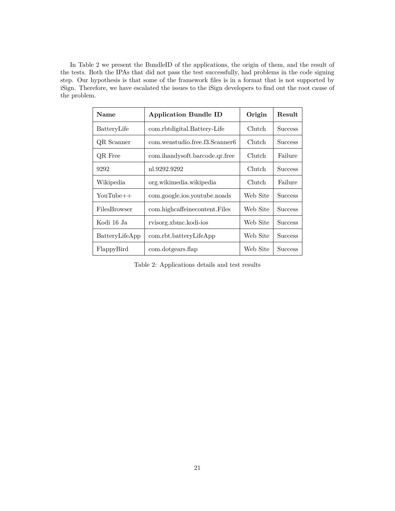In [Table 2](#page-21-0) we present the BundleID of the applications, the origin of them, and the result of the tests. Both the IPAs that did not pass the test successfully, had problems in the code signing step. Our hypothesis is that some of the framework files is in a format that is not supported by iSign. Therefore, we have escalated the issues to the iSign developers to find out the root cause of the problem.

| <b>Name</b>    | <b>Application Bundle ID</b>   | Origin   | Result         |
|----------------|--------------------------------|----------|----------------|
| BatteryLife    | com.rbtdigital.Battery-Life    | Clutch   | <b>Success</b> |
| QR Scanner     | com.wenstudio.free.f3.Scanner6 | Clutch   | <b>Success</b> |
| QR Free        | com.ihandysoft.barcode.qr.free | Clutch   | Failure        |
| 9292           | nl.9292.9292                   | Clutch   | <b>Success</b> |
| Wikipedia      | org.wikimedia.wikipedia        | Clutch   | Failure        |
| YouTube++      | com.google.jos.youtube.noads   | Web Site | <b>Success</b> |
| FilesBrowser   | com.highcaffeinecontent.Files  | Web Site | <b>Success</b> |
| Kodi 16 Ja     | rvisorg.xbmc.kodi-ios          | Web Site | <b>Success</b> |
| BatteryLifeApp | com.rbt.batteryLifeApp         | Web Site | <b>Success</b> |
| FlappyBird     | com.dotgears.flap              | Web Site | <b>Success</b> |

<span id="page-21-0"></span>Table 2: Applications details and test results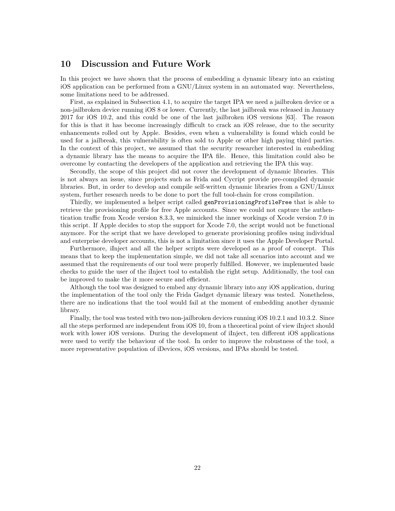## <span id="page-22-0"></span>**10 Discussion and Future Work**

In this project we have shown that the process of embedding a dynamic library into an existing iOS application can be performed from a GNU/Linux system in an automated way. Nevertheless, some limitations need to be addressed.

First, as explained in Subsection [4.1,](#page-8-0) to acquire the target IPA we need a jailbroken device or a non-jailbroken device running iOS 8 or lower. Currently, the last jailbreak was released in January 2017 for iOS 10.2, and this could be one of the last jailbroken iOS versions [\[63\]](#page-28-1). The reason for this is that it has become increasingly difficult to crack an iOS release, due to the security enhancements rolled out by Apple. Besides, even when a vulnerability is found which could be used for a jailbreak, this vulnerability is often sold to Apple or other high paying third parties. In the context of this project, we assumed that the security researcher interested in embedding a dynamic library has the means to acquire the IPA file. Hence, this limitation could also be overcome by contacting the developers of the application and retrieving the IPA this way.

Secondly, the scope of this project did not cover the development of dynamic libraries. This is not always an issue, since projects such as Frida and Cycript provide pre-compiled dynamic libraries. But, in order to develop and compile self-written dynamic libraries from a GNU/Linux system, further research needs to be done to port the full tool-chain for cross compilation.

Thirdly, we implemented a helper script called genProvisioningProfileFree that is able to retrieve the provisioning profile for free Apple accounts. Since we could not capture the authentication traffic from Xcode version 8.3.3, we mimicked the inner workings of Xcode version 7.0 in this script. If Apple decides to stop the support for Xcode 7.0, the script would not be functional anymore. For the script that we have developed to generate provisioning profiles using individual and enterprise developer accounts, this is not a limitation since it uses the Apple Developer Portal.

Furthermore, iInject and all the helper scripts were developed as a proof of concept. This means that to keep the implementation simple, we did not take all scenarios into account and we assumed that the requirements of our tool were properly fulfilled. However, we implemented basic checks to guide the user of the iInject tool to establish the right setup. Additionally, the tool can be improved to make the it more secure and efficient.

Although the tool was designed to embed any dynamic library into any iOS application, during the implementation of the tool only the Frida Gadget dynamic library was tested. Nonetheless, there are no indications that the tool would fail at the moment of embedding another dynamic library.

Finally, the tool was tested with two non-jailbroken devices running iOS 10.2.1 and 10.3.2. Since all the steps performed are independent from iOS 10, from a theoretical point of view iInject should work with lower iOS versions. During the development of iInject, ten different iOS applications were used to verify the behaviour of the tool. In order to improve the robustness of the tool, a more representative population of iDevices, iOS versions, and IPAs should be tested.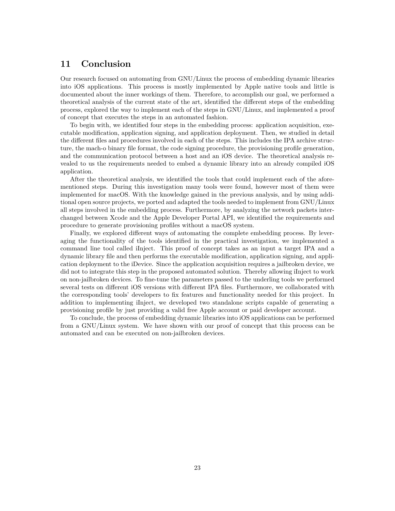# <span id="page-23-0"></span>**11 Conclusion**

Our research focused on automating from GNU/Linux the process of embedding dynamic libraries into iOS applications. This process is mostly implemented by Apple native tools and little is documented about the inner workings of them. Therefore, to accomplish our goal, we performed a theoretical analysis of the current state of the art, identified the different steps of the embedding process, explored the way to implement each of the steps in GNU/Linux, and implemented a proof of concept that executes the steps in an automated fashion.

To begin with, we identified four steps in the embedding process: application acquisition, executable modification, application signing, and application deployment. Then, we studied in detail the different files and procedures involved in each of the steps. This includes the IPA archive structure, the mach-o binary file format, the code signing procedure, the provisioning profile generation, and the communication protocol between a host and an iOS device. The theoretical analysis revealed to us the requirements needed to embed a dynamic library into an already compiled iOS application.

After the theoretical analysis, we identified the tools that could implement each of the aforementioned steps. During this investigation many tools were found, however most of them were implemented for macOS. With the knowledge gained in the previous analysis, and by using additional open source projects, we ported and adapted the tools needed to implement from GNU/Linux all steps involved in the embedding process. Furthermore, by analyzing the network packets interchanged between Xcode and the Apple Developer Portal API, we identified the requirements and procedure to generate provisioning profiles without a macOS system.

Finally, we explored different ways of automating the complete embedding process. By leveraging the functionality of the tools identified in the practical investigation, we implemented a command line tool called iInject. This proof of concept takes as an input a target IPA and a dynamic library file and then performs the executable modification, application signing, and application deployment to the iDevice. Since the application acquisition requires a jailbroken device, we did not to integrate this step in the proposed automated solution. Thereby allowing iInject to work on non-jailbroken devices. To fine-tune the parameters passed to the underling tools we performed several tests on different iOS versions with different IPA files. Furthermore, we collaborated with the corresponding tools' developers to fix features and functionality needed for this project. In addition to implementing iInject, we developed two standalone scripts capable of generating a provisioning profile by just providing a valid free Apple account or paid developer account.

To conclude, the process of embedding dynamic libraries into iOS applications can be performed from a GNU/Linux system. We have shown with our proof of concept that this process can be automated and can be executed on non-jailbroken devices.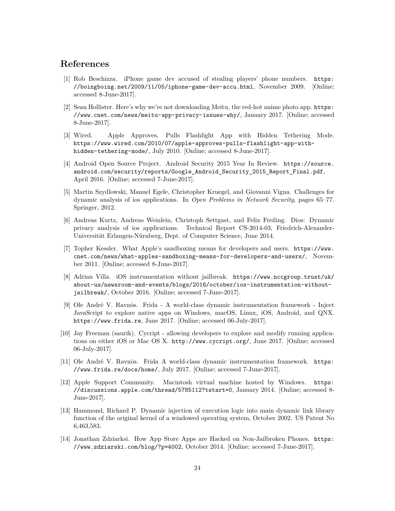# **References**

- <span id="page-24-0"></span>[1] Rob Beschizza. iPhone game dev accused of stealing players' phone numbers. [https:](https://boingboing.net/2009/11/05/iphone-game-dev-accu.html) [//boingboing.net/2009/11/05/iphone-game-dev-accu.html](https://boingboing.net/2009/11/05/iphone-game-dev-accu.html), November 2009. [Online; accessed 8-June-2017].
- <span id="page-24-1"></span>[2] Sean Hollister. Here's why we're not downloading Meitu, the red-hot anime photo app. [https:](https://www.cnet.com/news/meitu-app-privacy-issues-why/) [//www.cnet.com/news/meitu-app-privacy-issues-why/](https://www.cnet.com/news/meitu-app-privacy-issues-why/), January 2017. [Online; accessed 8-June-2017].
- <span id="page-24-2"></span>[3] Wired. Apple Approves, Pulls Flashlight App with Hidden Tethering Mode. [https://www.wired.com/2010/07/apple-approves-pulls-flashlight-app-with](https://www.wired.com/2010/07/apple-approves-pulls-flashlight-app-with-hidden-tethering-mode/)[hidden-tethering-mode/](https://www.wired.com/2010/07/apple-approves-pulls-flashlight-app-with-hidden-tethering-mode/), July 2010. [Online; accessed 8-June-2017].
- <span id="page-24-3"></span>[4] Android Open Source Project. Android Security 2015 Year In Review. [https://source.](https://source.android.com/security/reports/Google_Android_Security_2015_Report_Final.pdf) [android.com/security/reports/Google\\_Android\\_Security\\_2015\\_Report\\_Final.pdf](https://source.android.com/security/reports/Google_Android_Security_2015_Report_Final.pdf), April 2016. [Online; accessed 7-June-2017].
- <span id="page-24-4"></span>[5] Martin Szydlowski, Manuel Egele, Christopher Kruegel, and Giovanni Vigna. Challenges for dynamic analysis of ios applications. In *Open Problems in Network Security*, pages 65–77. Springer, 2012.
- <span id="page-24-5"></span>[6] Andreas Kurtz, Andreas Weinlein, Christoph Settgast, and Felix Freiling. Dios: Dynamic privacy analysis of ios applications. Technical Report CS-2014-03, Friedrich-Alexander-Universität Erlangen-Nürnberg, Dept. of Computer Science, June 2014.
- <span id="page-24-6"></span>[7] Topher Kessler. What Apple's sandboxing means for developers and users. [https://www.](https://www.cnet.com/news/what-apples-sandboxing-means-for-developers-and-users/) [cnet.com/news/what-apples-sandboxing-means-for-developers-and-users/](https://www.cnet.com/news/what-apples-sandboxing-means-for-developers-and-users/), November 2011. [Online; accessed 8-June-2017].
- <span id="page-24-7"></span>[8] Adrian Villa. iOS instrumentation without jailbreak. [https://www.nccgroup.trust/uk/](https://www.nccgroup.trust/uk/about-us/newsroom-and-events/blogs/2016/october/ios-instrumentation-without-jailbreak/) [about-us/newsroom-and-events/blogs/2016/october/ios-instrumentation-without](https://www.nccgroup.trust/uk/about-us/newsroom-and-events/blogs/2016/october/ios-instrumentation-without-jailbreak/)[jailbreak/](https://www.nccgroup.trust/uk/about-us/newsroom-and-events/blogs/2016/october/ios-instrumentation-without-jailbreak/), October 2016. [Online; accessed 7-June-2017].
- <span id="page-24-8"></span>[9] Ole André V. Ravnos. Frida - A world-class dynamic instrumentation framework - Inject JavaScript to explore native apps on Windows, macOS, Linux, iOS, Android, and QNX. <https://www.frida.re>, June 2017. [Online; accessed 06-July-2017].
- <span id="page-24-9"></span>[10] Jay Freeman (saurik). Cycript - allowing developers to explore and modify running applications on either iOS or Mac OS X. <http://www.cycript.org/>, June 2017. [Online; accessed 06-July-2017].
- <span id="page-24-10"></span>[11] Ole André V. Ravnos. Frida A world-class dynamic instrumentation framework. [https:](https://www.frida.re/docs/home/) [//www.frida.re/docs/home/](https://www.frida.re/docs/home/), July 2017. [Online; accessed 7-June-2017].
- <span id="page-24-11"></span>[12] Apple Support Community. Macintosh virtual machine hosted by Windows. [https:](https://discussions.apple.com/thread/5785112?tstart=0) [//discussions.apple.com/thread/5785112?tstart=0](https://discussions.apple.com/thread/5785112?tstart=0), January 2014. [Online; accessed 8- June-2017].
- <span id="page-24-12"></span>[13] Hammond, Richard P. Dynamic injection of execution logic into main dynamic link library function of the original kernel of a windowed operating system, October 2002. US Patent No 6,463,583.
- <span id="page-24-13"></span>[14] Jonathan Zdziarksi. How App Store Apps are Hacked on Non-Jailbroken Phones. [https:](https://www.zdziarski.com/blog/?p=4002) [//www.zdziarski.com/blog/?p=4002](https://www.zdziarski.com/blog/?p=4002), October 2014. [Online; accessed 7-June-2017].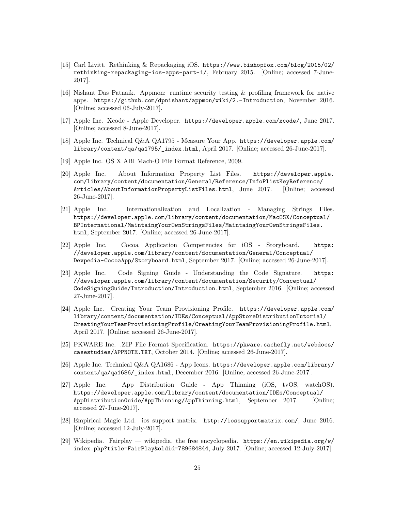- <span id="page-25-0"></span>[15] Carl Livitt. Rethinking & Repackaging iOS. [https://www.bishopfox.com/blog/2015/02/](https://www.bishopfox.com/blog/2015/02/rethinking-repackaging-ios-apps-part-1/) [rethinking-repackaging-ios-apps-part-1/](https://www.bishopfox.com/blog/2015/02/rethinking-repackaging-ios-apps-part-1/), February 2015. [Online; accessed 7-June-2017].
- <span id="page-25-1"></span>[16] Nishant Das Patnaik. Appmon: runtime security testing & profiling framework for native apps. <https://github.com/dpnishant/appmon/wiki/2.-Introduction>, November 2016. [Online; accessed 06-July-2017].
- <span id="page-25-2"></span>[17] Apple Inc. Xcode - Apple Developer. <https://developer.apple.com/xcode/>, June 2017. [Online; accessed 8-June-2017].
- <span id="page-25-3"></span>[18] Apple Inc. Technical Q&A QA1795 - Measure Your App. [https://developer.apple.com/](https://developer.apple.com/library/content/qa/qa1795/_index.html) [library/content/qa/qa1795/\\_index.html](https://developer.apple.com/library/content/qa/qa1795/_index.html), April 2017. [Online; accessed 26-June-2017].
- <span id="page-25-4"></span>[19] Apple Inc. OS X ABI Mach-O File Format Reference, 2009.
- <span id="page-25-5"></span>[20] Apple Inc. About Information Property List Files. [https://developer.apple.](https://developer.apple.com/library/content/documentation/General/Reference/InfoPlistKeyReference/Articles/AboutInformationPropertyListFiles.html) [com/library/content/documentation/General/Reference/InfoPlistKeyReference/](https://developer.apple.com/library/content/documentation/General/Reference/InfoPlistKeyReference/Articles/AboutInformationPropertyListFiles.html) [Articles/AboutInformationPropertyListFiles.html](https://developer.apple.com/library/content/documentation/General/Reference/InfoPlistKeyReference/Articles/AboutInformationPropertyListFiles.html), June 2017. [Online; accessed 26-June-2017].
- <span id="page-25-6"></span>[21] Apple Inc. Internationalization and Localization - Managing Strings Files. [https://developer.apple.com/library/content/documentation/MacOSX/Conceptual/](https://developer.apple.com/library/content/documentation/MacOSX/Conceptual/BPInternational/MaintaingYourOwnStringsFiles/MaintaingYourOwnStringsFiles.html) [BPInternational/MaintaingYourOwnStringsFiles/MaintaingYourOwnStringsFiles.](https://developer.apple.com/library/content/documentation/MacOSX/Conceptual/BPInternational/MaintaingYourOwnStringsFiles/MaintaingYourOwnStringsFiles.html) [html](https://developer.apple.com/library/content/documentation/MacOSX/Conceptual/BPInternational/MaintaingYourOwnStringsFiles/MaintaingYourOwnStringsFiles.html), September 2017. [Online; accessed 26-June-2017].
- <span id="page-25-7"></span>[22] Apple Inc. Cocoa Application Competencies for iOS - Storyboard. [https:](https://developer.apple.com/library/content/documentation/General/Conceptual/Devpedia-CocoaApp/Storyboard.html) [//developer.apple.com/library/content/documentation/General/Conceptual/](https://developer.apple.com/library/content/documentation/General/Conceptual/Devpedia-CocoaApp/Storyboard.html) [Devpedia-CocoaApp/Storyboard.html](https://developer.apple.com/library/content/documentation/General/Conceptual/Devpedia-CocoaApp/Storyboard.html), September 2017. [Online; accessed 26-June-2017].
- <span id="page-25-8"></span>[23] Apple Inc. Code Signing Guide - Understanding the Code Signature. [https:](https://developer.apple.com/library/content/documentation/Security/Conceptual/CodeSigningGuide/Introduction/Introduction.html) [//developer.apple.com/library/content/documentation/Security/Conceptual/](https://developer.apple.com/library/content/documentation/Security/Conceptual/CodeSigningGuide/Introduction/Introduction.html) [CodeSigningGuide/Introduction/Introduction.html](https://developer.apple.com/library/content/documentation/Security/Conceptual/CodeSigningGuide/Introduction/Introduction.html), September 2016. [Online; accessed 27-June-2017].
- <span id="page-25-9"></span>[24] Apple Inc. Creating Your Team Provisioning Profile. [https://developer.apple.com/](https://developer.apple.com/library/content/documentation/IDEs/Conceptual/AppStoreDistributionTutorial/CreatingYourTeamProvisioningProfile/CreatingYourTeamProvisioningProfile.html) [library/content/documentation/IDEs/Conceptual/AppStoreDistributionTutorial/](https://developer.apple.com/library/content/documentation/IDEs/Conceptual/AppStoreDistributionTutorial/CreatingYourTeamProvisioningProfile/CreatingYourTeamProvisioningProfile.html) [CreatingYourTeamProvisioningProfile/CreatingYourTeamProvisioningProfile.html](https://developer.apple.com/library/content/documentation/IDEs/Conceptual/AppStoreDistributionTutorial/CreatingYourTeamProvisioningProfile/CreatingYourTeamProvisioningProfile.html), April 2017. [Online; accessed 26-June-2017].
- <span id="page-25-10"></span>[25] PKWARE Inc. .ZIP File Format Specification. [https://pkware.cachefly.net/webdocs/](https://pkware.cachefly.net/webdocs/casestudies/APPNOTE.TXT) [casestudies/APPNOTE.TXT](https://pkware.cachefly.net/webdocs/casestudies/APPNOTE.TXT), October 2014. [Online; accessed 26-June-2017].
- <span id="page-25-11"></span>[26] Apple Inc. Technical Q&A QA1686 - App Icons. [https://developer.apple.com/library/](https://developer.apple.com/library/content/qa/qa1686/_index.html) [content/qa/qa1686/\\_index.html](https://developer.apple.com/library/content/qa/qa1686/_index.html), December 2016. [Online; accessed 26-June-2017].
- <span id="page-25-12"></span>[27] Apple Inc. App Distribution Guide - App Thinning (iOS, tvOS, watchOS). [https://developer.apple.com/library/content/documentation/IDEs/Conceptual/](https://developer.apple.com/library/content/documentation/IDEs/Conceptual/AppDistributionGuide/AppThinning/AppThinning.html) [AppDistributionGuide/AppThinning/AppThinning.html](https://developer.apple.com/library/content/documentation/IDEs/Conceptual/AppDistributionGuide/AppThinning/AppThinning.html), September 2017. [Online; accessed 27-June-2017].
- <span id="page-25-13"></span>[28] Empirical Magic Ltd. ios support matrix. <http://iossupportmatrix.com/>, June 2016. [Online; accessed 12-July-2017].
- <span id="page-25-14"></span>[29] Wikipedia. Fairplay — wikipedia, the free encyclopedia. [https://en.wikipedia.org/w/](https://en.wikipedia.org/w/index.php?title=FairPlay&oldid=789684844) [index.php?title=FairPlay&oldid=789684844](https://en.wikipedia.org/w/index.php?title=FairPlay&oldid=789684844), July 2017. [Online; accessed 12-July-2017].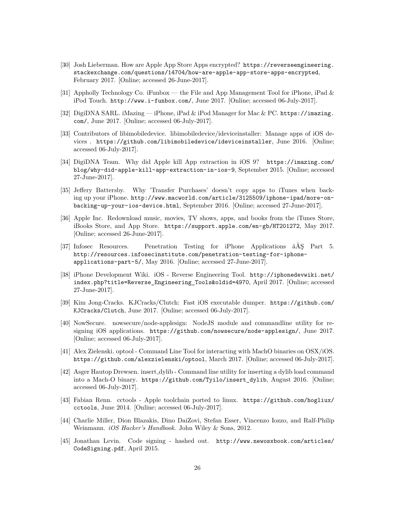- <span id="page-26-0"></span>[30] Josh Lieberman. How are Apple App Store Apps encrypted? [https://reverseengineering.](https://reverseengineering.stackexchange.com/questions/14704/how-are-apple-app-store-apps-encrypted) [stackexchange.com/questions/14704/how-are-apple-app-store-apps-encrypted](https://reverseengineering.stackexchange.com/questions/14704/how-are-apple-app-store-apps-encrypted), February 2017. [Online; accessed 26-June-2017].
- <span id="page-26-1"></span>[31] Appholly Technology Co. iFunbox — the File and App Management Tool for iPhone, iPad & iPod Touch. <http://www.i-funbox.com/>, June 2017. [Online; accessed 06-July-2017].
- <span id="page-26-2"></span>[32] DigiDNA SARL. iMazing — iPhone, iPad & iPod Manager for Mac & PC. [https://imazing.](https://imazing.com/) [com/](https://imazing.com/), June 2017. [Online; accessed 06-July-2017].
- <span id="page-26-3"></span>[33] Contributors of libimobiledevice. libimobiledevice/ideviceinstaller: Manage apps of iOS devices . <https://github.com/libimobiledevice/ideviceinstaller>, June 2016. [Online; accessed 06-July-2017].
- <span id="page-26-4"></span>[34] DigiDNA Team. Why did Apple kill App extraction in iOS 9? [https://imazing.com/](https://imazing.com/blog/why-did-apple-kill-app-extraction-in-ios-9) [blog/why-did-apple-kill-app-extraction-in-ios-9](https://imazing.com/blog/why-did-apple-kill-app-extraction-in-ios-9), September 2015. [Online; accessed 27-June-2017].
- <span id="page-26-5"></span>[35] Jeffery Battersby. Why 'Transfer Purchases' doesn't copy apps to iTunes when backing up your iPhone. [http://www.macworld.com/article/3125509/iphone-ipad/more-on](http://www.macworld.com/article/3125509/iphone-ipad/more-on-backing-up-your-ios-device.html)[backing-up-your-ios-device.html](http://www.macworld.com/article/3125509/iphone-ipad/more-on-backing-up-your-ios-device.html), September 2016. [Online; accessed 27-June-2017].
- <span id="page-26-6"></span>[36] Apple Inc. Redownload music, movies, TV shows, apps, and books from the iTunes Store, iBooks Store, and App Store. <https://support.apple.com/en-gb/HT201272>, May 2017. [Online; accessed 26-June-2017].
- <span id="page-26-7"></span>[37] Infosec Resources. Penetration Testing for iPhone Applications âĂŞ Part 5. [http://resources.infosecinstitute.com/penetration-testing-for-iphone](http://resources.infosecinstitute.com/penetration-testing-for-iphone-applications-part-5/)[applications-part-5/](http://resources.infosecinstitute.com/penetration-testing-for-iphone-applications-part-5/), May 2016. [Online; accessed 27-June-2017].
- <span id="page-26-8"></span>[38] iPhone Development Wiki. iOS - Reverse Engineering Tool. [http://iphonedevwiki.net/](http://iphonedevwiki.net/index.php?title=Reverse_Engineering_Tools&oldid=4970) [index.php?title=Reverse\\_Engineering\\_Tools&oldid=4970](http://iphonedevwiki.net/index.php?title=Reverse_Engineering_Tools&oldid=4970), April 2017. [Online; accessed 27-June-2017].
- <span id="page-26-9"></span>[39] Kim Jong-Cracks. KJCracks/Clutch: Fast iOS executable dumper. [https://github.com/](https://github.com/KJCracks/Clutch) [KJCracks/Clutch](https://github.com/KJCracks/Clutch), June 2017. [Online; accessed 06-July-2017].
- <span id="page-26-10"></span>[40] NowSecure. nowsecure/node-applesign: NodeJS module and commandline utility for resigning iOS applications. <https://github.com/nowsecure/node-applesign/>, June 2017. [Online; accessed 06-July-2017].
- <span id="page-26-11"></span>[41] Alex Zielenski. optool - Command Line Tool for interacting with MachO binaries on OSX/iOS. <https://github.com/alexzielenski/optool>, March 2017. [Online; accessed 06-July-2017].
- <span id="page-26-12"></span>[42] Asger Hautop Drewsen. insert dylib - Command line utility for inserting a dylib load command into a Mach-O binary. [https://github.com/Tyilo/insert\\_dylib](https://github.com/Tyilo/insert_dylib), August 2016. [Online; accessed 06-July-2017].
- <span id="page-26-13"></span>[43] Fabian Renn. cctools - Apple toolchain ported to linux. [https://github.com/hogliux/](https://github.com/hogliux/cctools) [cctools](https://github.com/hogliux/cctools), June 2014. [Online; accessed 06-July-2017].
- <span id="page-26-14"></span>[44] Charlie Miller, Dion Blazakis, Dino DaiZovi, Stefan Esser, Vincenzo Iozzo, and Ralf-Philip Weinmann. *iOS Hacker's Handbook*. John Wiley & Sons, 2012.
- <span id="page-26-15"></span>[45] Jonathan Levin. Code signing - hashed out. [http://www.newosxbook.com/articles/](http://www.newosxbook.com/articles/CodeSigning.pdf) [CodeSigning.pdf](http://www.newosxbook.com/articles/CodeSigning.pdf), April 2015.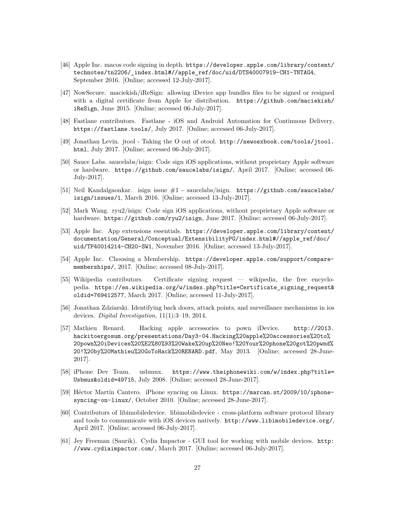- <span id="page-27-0"></span>[46] Apple Inc. macos code signing in depth. [https://developer.apple.com/library/content/](https://developer.apple.com/library/content/technotes/tn2206/_index.html#//apple_ref/doc/uid/DTS40007919-CH1-TNTAG4) [technotes/tn2206/\\_index.html#//apple\\_ref/doc/uid/DTS40007919-CH1-TNTAG4](https://developer.apple.com/library/content/technotes/tn2206/_index.html#//apple_ref/doc/uid/DTS40007919-CH1-TNTAG4), September 2016. [Online; accessed 12-July-2017].
- <span id="page-27-1"></span>[47] NowSecure. maciekish/iReSign: allowing iDevice app bundles files to be signed or resigned with a digital certificate from Apple for distribution. [https://github.com/maciekish/](https://github.com/maciekish/iReSign) [iReSign](https://github.com/maciekish/iReSign), June 2015. [Online; accessed 06-July-2017].
- <span id="page-27-2"></span>[48] Fastlane contributors. Fastlane - iOS and Android Automation for Continuous Delivery. <https://fastlane.tools/>, July 2017. [Online; accessed 06-July-2017].
- <span id="page-27-3"></span>[49] Jonathan Levin. jtool - Taking the O out of otool. [http://newosxbook.com/tools/jtool.](http://newosxbook.com/tools/jtool.html) [html](http://newosxbook.com/tools/jtool.html), July 2017. [Online; accessed 06-July-2017].
- <span id="page-27-4"></span>[50] Sauce Labs. saucelabs/isign: Code sign iOS applications, without proprietary Apple software or hardware. <https://github.com/saucelabs/isign/>, April 2017. [Online; accessed 06- July-2017].
- <span id="page-27-5"></span>[51] Neil Kandalgaonkar. isign issue #1 - saucelabs/isign. [https://github.com/saucelabs/](https://github.com/saucelabs/isign/issues/1) [isign/issues/1](https://github.com/saucelabs/isign/issues/1), March 2016. [Online; accessed 13-July-2017].
- <span id="page-27-6"></span>[52] Mark Wang. ryu2/isign: Code sign iOS applications, without proprietary Apple software or hardware. <https://github.com/ryu2/isign>, June 2017. [Online; accessed 06-July-2017].
- <span id="page-27-7"></span>[53] Apple Inc. App extensions essentials. [https://developer.apple.com/library/content/](https://developer.apple.com/library/content/documentation/General/Conceptual/ExtensibilityPG/index.html#//apple_ref/doc/uid/TP40014214-CH20-SW1) [documentation/General/Conceptual/ExtensibilityPG/index.html#//apple\\_ref/doc/](https://developer.apple.com/library/content/documentation/General/Conceptual/ExtensibilityPG/index.html#//apple_ref/doc/uid/TP40014214-CH20-SW1) [uid/TP40014214-CH20-SW1](https://developer.apple.com/library/content/documentation/General/Conceptual/ExtensibilityPG/index.html#//apple_ref/doc/uid/TP40014214-CH20-SW1), November 2016. [Online; accessed 13-July-2017].
- <span id="page-27-8"></span>[54] Apple Inc. Choosing a Membership. [https://developer.apple.com/support/compare](https://developer.apple.com/support/compare-memberships/)[memberships/](https://developer.apple.com/support/compare-memberships/), 2017. [Online; accessed 08-July-2017].
- <span id="page-27-9"></span>[55] Wikipedia contributors. Certificate signing request — wikipedia, the free encyclopedia. [https://en.wikipedia.org/w/index.php?title=Certificate\\_signing\\_request&](https://en.wikipedia.org/w/index.php?title=Certificate_signing_request&oldid=769412577) [oldid=769412577](https://en.wikipedia.org/w/index.php?title=Certificate_signing_request&oldid=769412577), March 2017. [Online; accessed 11-July-2017].
- <span id="page-27-10"></span>[56] Jonathan Zdziarski. Identifying back doors, attack points, and surveillance mechanisms in ios devices. *Digital Investigation*, 11(1):3–19, 2014.
- <span id="page-27-11"></span>[57] Mathieu Renard. Hacking apple accessories to pown iDevice. [http://2013.](http://2013.hackitoergosum.org/presentations/Day3-04.Hacking%20apple%20accessories%20to%20pown%20iDevices%20%E2%80%93%20Wake%20up%20Neo!%20Your%20phone%20got%20pwnd%20!%20by%20Mathieu%20GoToHack%20RENARD.pdf) [hackitoergosum.org/presentations/Day3-04.Hacking%20apple%20accessories%20to%](http://2013.hackitoergosum.org/presentations/Day3-04.Hacking%20apple%20accessories%20to%20pown%20iDevices%20%E2%80%93%20Wake%20up%20Neo!%20Your%20phone%20got%20pwnd%20!%20by%20Mathieu%20GoToHack%20RENARD.pdf) [20pown%20iDevices%20%E2%80%93%20Wake%20up%20Neo!%20Your%20phone%20got%20pwnd%](http://2013.hackitoergosum.org/presentations/Day3-04.Hacking%20apple%20accessories%20to%20pown%20iDevices%20%E2%80%93%20Wake%20up%20Neo!%20Your%20phone%20got%20pwnd%20!%20by%20Mathieu%20GoToHack%20RENARD.pdf) [20!%20by%20Mathieu%20GoToHack%20RENARD.pdf](http://2013.hackitoergosum.org/presentations/Day3-04.Hacking%20apple%20accessories%20to%20pown%20iDevices%20%E2%80%93%20Wake%20up%20Neo!%20Your%20phone%20got%20pwnd%20!%20by%20Mathieu%20GoToHack%20RENARD.pdf), May 2013. [Online; accessed 28-June-2017].
- <span id="page-27-12"></span>[58] iPhone Dev Team. usbmux. [https://www.theiphonewiki.com/w/index.php?title=](https://www.theiphonewiki.com/w/index.php?title=Usbmux&oldid=49715) [Usbmux&oldid=49715](https://www.theiphonewiki.com/w/index.php?title=Usbmux&oldid=49715), July 2008. [Online; accessed 28-June-2017].
- <span id="page-27-13"></span>[59] Héctor Martín Cantero. iPhone syncing on Linux. [https://marcan.st/2009/10/iphone](https://marcan.st/2009/10/iphone-syncing-on-linux/)[syncing-on-linux/](https://marcan.st/2009/10/iphone-syncing-on-linux/), October 2010. [Online; accessed 28-June-2017].
- <span id="page-27-14"></span>[60] Contributors of libimobiledevice. libimobiledevice - cross-platform software protocol library and tools to communicate with iOS devices natively. <http://www.libimobiledevice.org/>, April 2017. [Online; accessed 06-July-2017].
- <span id="page-27-15"></span>[61] Jey Freeman (Saurik). Cydia Impactor - GUI tool for working with mobile devices. [http:](http://www.cydiaimpactor.com/) [//www.cydiaimpactor.com/](http://www.cydiaimpactor.com/), March 2017. [Online; accessed 06-July-2017].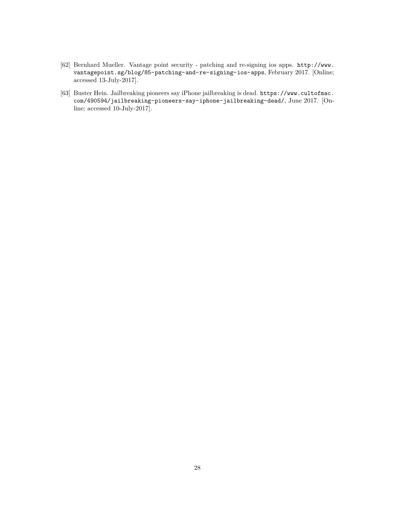- <span id="page-28-0"></span>[62] Bernhard Mueller. Vantage point security - patching and re-signing ios apps. [http://www.](http://www.vantagepoint.sg/blog/85-patching-and-re-signing-ios-apps) [vantagepoint.sg/blog/85-patching-and-re-signing-ios-apps](http://www.vantagepoint.sg/blog/85-patching-and-re-signing-ios-apps), February 2017. [Online; accessed 13-July-2017].
- <span id="page-28-1"></span>[63] Buster Hein. Jailbreaking pioneers say iPhone jailbreaking is dead. [https://www.cultofmac.](https://www.cultofmac.com/490594/jailbreaking-pioneers-say-iphone-jailbreaking-dead/) [com/490594/jailbreaking-pioneers-say-iphone-jailbreaking-dead/](https://www.cultofmac.com/490594/jailbreaking-pioneers-say-iphone-jailbreaking-dead/), June 2017. [Online; accessed 10-July-2017].